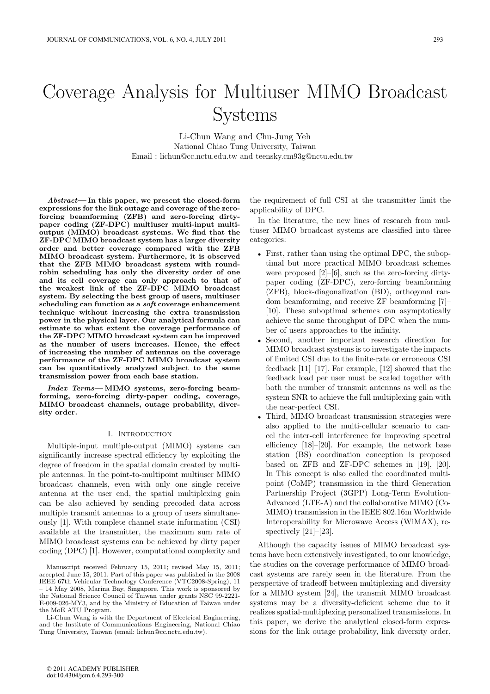# Coverage Analysis for Multiuser MIMO Broadcast Systems

Li-Chun Wang and Chu-Jung Yeh National Chiao Tung University, Taiwan Email : lichun@cc.nctu.edu.tw and teensky.cm93g@nctu.edu.tw

*Abstract***— In this paper, we present the closed-form expressions for the link outage and coverage of the zeroforcing beamforming (ZFB) and zero-forcing dirty**paper coding (ZF-DPC) multiuser multi-input multi**output (MIMO) broadcast systems. We find that the ZF-DPC MIMO broadcast system has a larger diversity order and better coverage compared with the ZFB MIMO broadcast system. Furthermore, it is observed that the ZFB MIMO broadcast system with roundrobin scheduling has only the diversity order of one and its cell coverage can only approach to that of the weakest link of the ZF-DPC MIMO broadcast system. By selecting the best group of users, multiuser scheduling can function as a** *soft* **coverage enhancement technique without increasing the extra transmission power in the physical layer. Our analytical formula can estimate to what extent the coverage performance of the ZF-DPC MIMO broadcast system can be improved as the number of users increases. Hence, the effect of increasing the number of antennas on the coverage performance of the ZF-DPC MIMO broadcast system can be quantitatively analyzed subject to the same transmission power from each base station.**

*Index Terms***— MIMO systems, zero-forcing beamforming, zero-forcing dirty-paper coding, coverage, MIMO broadcast channels, outage probability, diversity order.**

## I. Introduction

Multiple-input multiple-output (MIMO) systems can significantly increase spectral efficiency by exploiting the degree of freedom in the spatial domain created by multiple antennas. In the point-to-multipoint multiuser MIMO broadcast channels, even with only one single receive antenna at the user end, the spatial multiplexing gain can be also achieved by sending precoded data across multiple transmit antennas to a group of users simultaneously [1]. With complete channel state information (CSI) available at the transmitter, the maximum sum rate of MIMO broadcast systems can be achieved by dirty paper coding (DPC) [1]. However, computational complexity and

Li-Chun Wang is with the Department of Electrical Engineering, and the Institute of Communications Engineering, National Chiao Tung University, Taiwan (email: lichun@cc.nctu.edu.tw).

the requirement of full CSI at the transmitter limit the applicability of DPC.

In the literature, the new lines of research from multiuser MIMO broadcast systems are classified into three categories:

- First, rather than using the optimal DPC, the suboptimal but more practical MIMO broadcast schemes were proposed  $[2]$ – $[6]$ , such as the zero-forcing dirtypaper coding (ZF-DPC), zero-forcing beamforming (ZFB), block-diagonalization (BD), orthogonal random beamforming, and receive ZF beamforming [7]– [10]. These suboptimal schemes can asymptotically achieve the same throughput of DPC when the number of users approaches to the infinity.
- Second, another important research direction for MIMO broadcast systems is to investigate the impacts of limited CSI due to the finite-rate or erroneous CSI feedback [11]–[17]. For example, [12] showed that the feedback load per user must be scaled together with both the number of transmit antennas as well as the system SNR to achieve the full multiplexing gain with the near-perfect CSI.
- Third, MIMO broadcast transmission strategies were also applied to the multi-cellular scenario to cancel the inter-cell interference for improving spectral efficiency [18]–[20]. For example, the network base station (BS) coordination conception is proposed based on ZFB and ZF-DPC schemes in [19], [20]. In This concept is also called the coordinated multipoint (CoMP) transmission in the third Generation Partnership Project (3GPP) Long-Term Evolution-Advanced (LTE-A) and the collaborative MIMO (Co-MIMO) transmission in the IEEE 802.16m Worldwide Interoperability for Microwave Access (WiMAX), respectively [21]–[23].

Although the capacity issues of MIMO broadcast systems have been extensively investigated, to our knowledge, the studies on the coverage performance of MIMO broadcast systems are rarely seen in the literature. From the perspective of tradeoff between multiplexing and diversity for a MIMO system [24], the transmit MIMO broadcast systems may be a diversity-deficient scheme due to it realizes spatial-multiplexing personalized transmissions. In this paper, we derive the analytical closed-form expressions for the link outage probability, link diversity order,

Manuscript received February 15, 2011; revised May 15, 2011; accepted June 15, 2011. Part of this paper was published in the 2008 IEEE 67th Vehicular Technology Conference (VTC2008-Spring), 11 – 14 May 2008, Marina Bay, Singapore. This work is sponsored by the National Science Council of Taiwan under grants NSC 99-2221- E-009-026-MY3, and by the Ministry of Education of Taiwan under the MoE ATU Program.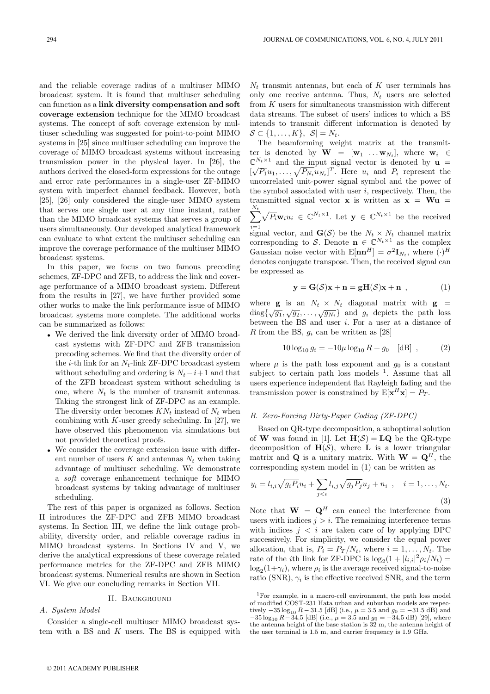and the reliable coverage radius of a multiuser MIMO broadcast system. It is found that multiuser scheduling can function as a **link diversity compensation and soft coverage extension** technique for the MIMO broadcast systems. The concept of soft coverage extension by multiuser scheduling was suggested for point-to-point MIMO systems in [25] since multiuser scheduling can improve the coverage of MIMO broadcast systems without increasing transmission power in the physical layer. In [26], the authors derived the closed-form expressions for the outage and error rate performances in a single-user ZF-MIMO system with imperfect channel feedback. However, both [25], [26] only considered the single-user MIMO system that serves one single user at any time instant, rather than the MIMO broadcast systems that serves a group of users simultaneously. Our developed analytical framework can evaluate to what extent the multiuser scheduling can improve the coverage performance of the multiuser MIMO broadcast systems.

In this paper, we focus on two famous precoding schemes, ZF-DPC and ZFB, to address the link and coverage performance of a MIMO broadcast system. Different from the results in [27], we have further provided some other works to make the link performance issue of MIMO broadcast systems more complete. The additional works can be summarized as follows:

- We derived the link diversity order of MIMO broadcast systems with ZF-DPC and ZFB transmission precoding schemes. We find that the diversity order of the *i*-th link for an  $N_t$ -link ZF-DPC broadcast system without scheduling and ordering is  $N_t-i+1$  and that of the ZFB broadcast system without scheduling is one, where  $N_t$  is the number of transmit antennas. Taking the strongest link of ZF-DPC as an example. The diversity order becomes  $KN_t$  instead of  $N_t$  when combining with  $K$ -user greedy scheduling. In [27], we have observed this phenomenon via simulations but not provided theoretical proofs.
- We consider the coverage extension issue with different number of users K and antennas  $N_t$  when taking advantage of multiuser scheduling. We demonstrate a soft coverage enhancement technique for MIMO broadcast systems by taking advantage of multiuser scheduling.

The rest of this paper is organized as follows. Section II introduces the ZF-DPC and ZFB MIMO broadcast systems. In Section III, we define the link outage probability, diversity order, and reliable coverage radius in MIMO broadcast systems. In Sections IV and V, we derive the analytical expressions of these coverage related performance metrics for the ZF-DPC and ZFB MIMO broadcast systems. Numerical results are shown in Section VI. We give our concluding remarks in Section VII.

## II. Background

### A. System Model

Consider a single-cell multiuser MIMO broadcast system with a BS and  $K$  users. The BS is equipped with

 $N_t$  transmit antennas, but each of  $K$  user terminals has only one receive antenna. Thus,  $N_t$  users are selected from  $K$  users for simultaneous transmission with different data streams. The subset of users' indices to which a BS intends to transmit different information is denoted by  $S \subset \{1,\ldots,K\}, |\mathcal{S}| = N_t.$ 

The beamforming weight matrix at the transmitter is denoted by  $\mathbf{W} = [\mathbf{w}_1 \dots \mathbf{w}_{N_t}],$  where  $\mathbf{w}_i \in$  $\mathbb{C}^{N_t\times 1}$  and the input signal vector is denoted by **u** =  $[\sqrt{P_1}u_1,\ldots,\sqrt{P_N_t}u_{N_t}]^T$ . Here  $u_i$  and  $P_i$  represent the uncorrelated unit-power signal symbol and the power of the symbol associated with user  $i$ , respectively. Then, the transmitted signal vector **x** is written as  $x = Wu$  $\sum_{l}^{N_t} \sqrt{P_i} \mathbf{w}_i u_i \in \mathbb{C}^{N_t \times 1}$ . Let  $\mathbf{y} \in \mathbb{C}^{N_t \times 1}$  be the received  $i=1$ <br>signal vector, and  $\mathbf{G}(\mathcal{S})$  be the  $N_t \times N_t$  channel matrix corresponding to S. Denote  $\mathbf{n} \in \mathbb{C}^{N_t \times 1}$  as the complex Gaussian noise vector with  $E[\mathbf{n}\mathbf{n}^H] = \sigma^2 \mathbf{I}_{N_t}$ , where  $(\cdot)^H$ denotes conjugate transpose. Then, the received signal can be expressed as

$$
\mathbf{y} = \mathbf{G}(\mathcal{S})\mathbf{x} + \mathbf{n} = \mathbf{g}\mathbf{H}(\mathcal{S})\mathbf{x} + \mathbf{n} \tag{1}
$$

where **g** is an  $N_t \times N_t$  diagonal matrix with **g** = where  $\mathbf{g}$  is an  $N_t \times N_t$  diagonal matrix with  $\mathbf{g}$  =<br>diag $\{\sqrt{g_1}, \sqrt{g_2}, \dots, \sqrt{g_{N_t}}\}$  and  $g_i$  depicts the path loss between the BS and user i. For a user at a distance of R from the BS,  $q_i$  can be written as [28]

$$
10\log_{10} g_i = -10\mu \log_{10} R + g_0 \quad [\text{dB}] \tag{2}
$$

where  $\mu$  is the path loss exponent and  $g_0$  is a constant subject to certain path loss models  $1$ . Assume that all users experience independent flat Rayleigh fading and the transmission power is constrained by  $E[\mathbf{x}^H\mathbf{x}] = P_T$ .

#### B. Zero-Forcing Dirty-Paper Coding (ZF-DPC)

Based on QR-type decomposition, a suboptimal solution of **W** was found in [1]. Let  $H(S) = LQ$  be the QR-type decomposition of  $H(S)$ , where **L** is a lower triangular matrix and **Q** is a unitary matrix. With  $W = Q<sup>H</sup>$ , the corresponding system model in (1) can be written as

$$
y_i = l_{i,i}\sqrt{g_i P_i}u_i + \sum_{j\n(3)
$$

Note that  $\mathbf{W} = \mathbf{Q}^H$  can cancel the interference from users with indices  $j>i$ . The remaining interference terms with indices  $j < i$  are taken care of by applying DPC successively. For simplicity, we consider the equal power allocation, that is,  $P_i = P_T/N_t$ , where  $i = 1, ..., N_t$ . The rate of the *i*th link for ZF-DPC is  $\log_2(1+|l_{i,i}|^2 \rho_i/N_t)$  =  $log_2(1+\gamma_i)$ , where  $\rho_i$  is the average received signal-to-noise ratio (SNR),  $\gamma_i$  is the effective received SNR, and the term

<sup>1</sup>For example, in a macro-cell environment, the path loss model of modified COST-231 Hata urban and suburban models are respectively  $-35 \log_{10} R - 31.5$  [dB] (i.e.,  $\mu = 3.5$  and  $g_0 = -31.5$  dB) and  $-35 \log_{10} R - 34.5$  [dB] (i.e.,  $\mu = 3.5$  and  $g_0 = -34.5$  dB) [29], where the antenna height of the base station is  $32 \text{ m}$ , the antenna height of the user terminal is 1.5 m, and carrier frequency is 1.9 GHz.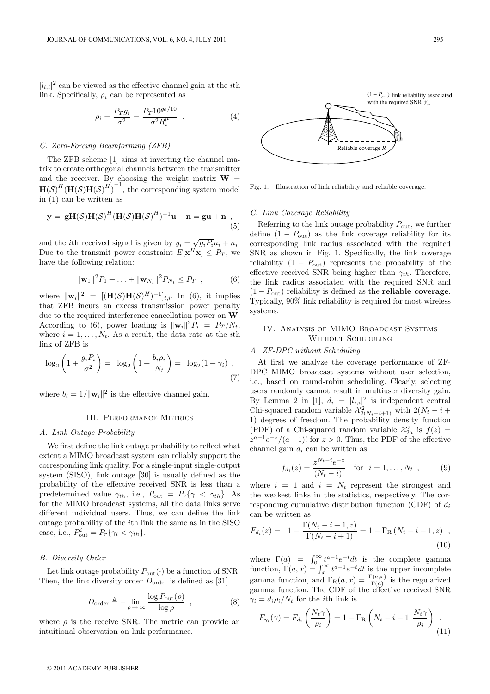$|l_{i,i}|^2$  can be viewed as the effective channel gain at the *i*th link. Specifically,  $\rho_i$  can be represented as

$$
\rho_i = \frac{P_T g_i}{\sigma^2} = \frac{P_T 10^{g_0/10}}{\sigma^2 R_i^{\mu}} \quad . \tag{4}
$$

## C. Zero-Forcing Beamforming (ZFB)

The ZFB scheme [1] aims at inverting the channel matrix to create orthogonal channels between the transmitter and the receiver. By choosing the weight matrix  $W =$  $H(S)^H(H(S)H(S)^H)^{-1}$ , the corresponding system model in (1) can be written as

$$
\mathbf{y} = \mathbf{g}\mathbf{H}(\mathcal{S})\mathbf{H}(\mathcal{S})^H(\mathbf{H}(\mathcal{S})\mathbf{H}(\mathcal{S})^H)^{-1}\mathbf{u} + \mathbf{n} = \mathbf{g}\mathbf{u} + \mathbf{n} \tag{5}
$$

and the *i*th received signal is given by  $y_i = \sqrt{g_i P_i} u_i + n_i$ . Due to the transmit power constraint  $E[\mathbf{x}^H\mathbf{x}] \leq P_T$ , we have the following relation:

$$
\|\mathbf{w}_1\|^2 P_1 + \ldots + \|\mathbf{w}_{N_t}\|^2 P_{N_t} \le P_T \quad , \tag{6}
$$

where  $\|\mathbf{w}_i\|^2 = [(\mathbf{H}(\mathcal{S})\mathbf{H}(\mathcal{S})^H)^{-1}]_{i,i}$ . In (6), it implies that ZFB incurs an excess transmission power penalty due to the required interference cancellation power on **W**. According to (6), power loading is  $\|\mathbf{w}_i\|^2 P_i = P_T / N_t$ , where  $i = 1, \ldots, N_t$ . As a result, the data rate at the *i*th link of ZFB is

$$
\log_2\left(1+\frac{g_iP_i}{\sigma^2}\right) = \log_2\left(1+\frac{b_i\rho_i}{N_t}\right) = \log_2(1+\gamma_i),\tag{7}
$$

where  $b_i = 1/||\mathbf{w}_i||^2$  is the effective channel gain.

# III. Performance Metrics

## A. Link Outage Probability

We first define the link outage probability to reflect what extent a MIMO broadcast system can reliably support the corresponding link quality. For a single-input single-output system (SISO), link outage [30] is usually defined as the probability of the effective received SNR is less than a predetermined value  $\gamma_{th}$ , i.e.,  $P_{\text{out}} = P_r \{ \gamma \langle \gamma_{th} \rangle$ . As for the MIMO broadcast systems, all the data links serve different individual users. Thus, we can define the link outage probability of the ith link the same as in the SISO case, i.e.,  $P_{\text{out}}^i = P_r \{ \gamma_i < \gamma_{th} \}.$ 

#### B. Diversity Order

Let link outage probability  $P_{\text{out}}(\cdot)$  be a function of SNR. Then, the link diversity order  $D_{\text{order}}$  is defined as [31]

$$
D_{\text{order}} \triangleq - \lim_{\rho \to \infty} \frac{\log P_{\text{out}}(\rho)}{\log \rho} , \qquad (8)
$$

where  $\rho$  is the receive SNR. The metric can provide an intuitional observation on link performance.



Fig. 1. Illustration of link reliability and reliable coverage.

#### C. Link Coverage Reliability

Referring to the link outage probability  $P_{\mathrm{out}},$  we further define  $(1 - P_{\text{out}})$  as the link coverage reliability for its corresponding link radius associated with the required SNR as shown in Fig. 1. Specifically, the link coverage reliability  $(1 - P_{\text{out}})$  represents the probability of the effective received SNR being higher than  $\gamma_{th}$ . Therefore, the link radius associated with the required SNR and  $(1 - P_{\text{out}})$  reliability is defined as the **reliable coverage**. Typically, 90% link reliability is required for most wireless systems.

## IV. Analysis of MIMO Broadcast Systems WITHOUT SCHEDULING

#### A. ZF-DPC without Scheduling

At first we analyze the coverage performance of ZF-DPC MIMO broadcast systems without user selection, i.e., based on round-robin scheduling. Clearly, selecting users randomly cannot result in multiuser diversity gain. By Lemma 2 in [1],  $d_i = |l_{i,i}|^2$  is independent central Chi-squared random variable  $\chi^2_{2(N_t-i+1)}$  with  $2(N_t-i+1)$  degrees of freedom. The probability density function (PDF) of a Chi-squared random variable  $\mathcal{X}_{2a}^2$  is  $f(z) =$  $z^{a-1}e^{-z}/(a-1)!$  for  $z > 0$ . Thus, the PDF of the effective channel gain  $d_i$  can be written as

$$
f_{d_i}(z) = \frac{z^{N_t - i} e^{-z}}{(N_t - i)!} \quad \text{for} \quad i = 1, ..., N_t \quad , \tag{9}
$$

where  $i = 1$  and  $i = N_t$  represent the strongest and the weakest links in the statistics, respectively. The corresponding cumulative distribution function (CDF) of  $d_i$ can be written as

$$
F_{d_i}(z) = 1 - \frac{\Gamma(N_t - i + 1, z)}{\Gamma(N_t - i + 1)} = 1 - \Gamma_{\mathcal{R}} (N_t - i + 1, z) ,
$$
\n(10)

where  $\Gamma(a) = \int_0^\infty t^{a-1} e^{-t} dt$  is the complete gamma function,  $\Gamma(a,x) = \int_x^{\infty} t^{a-1}e^{-t}dt$  is the upper incomplete gamma function, and  $\Gamma_R(a,x) = \frac{\Gamma(a,x)}{\Gamma(a)}$  is the regularized gamma function. The CDF of the effective received SNR  $\gamma_i = d_i \rho_i / N_t$  for the *i*th link is

$$
F_{\gamma_i}(\gamma) = F_{d_i} \left( \frac{N_t \gamma}{\rho_i} \right) = 1 - \Gamma_{\rm R} \left( N_t - i + 1, \frac{N_t \gamma}{\rho_i} \right) \tag{11}
$$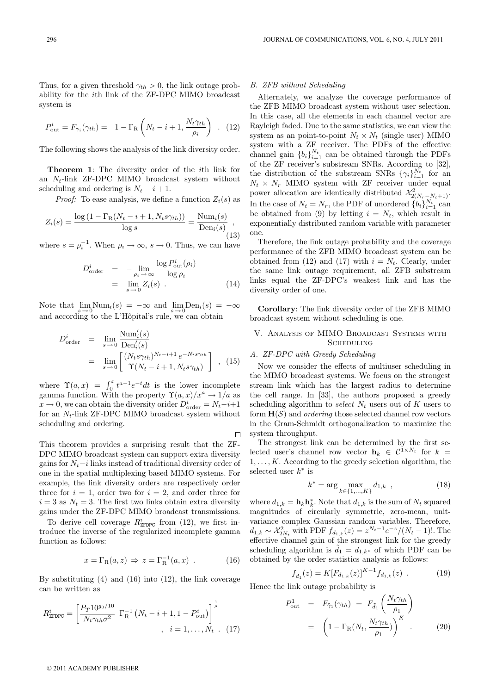Thus, for a given threshold  $\gamma_{th} > 0$ , the link outage probability for the ith link of the ZF-DPC MIMO broadcast system is

$$
P_{\text{out}}^i = F_{\gamma_i}(\gamma_{th}) = 1 - \Gamma_{\text{R}} \left( N_t - i + 1, \frac{N_t \gamma_{th}}{\rho_i} \right) . \tag{12}
$$

The following shows the analysis of the link diversity order.

**Theorem 1**: The diversity order of the ith link for an  $N_t$ -link ZF-DPC MIMO broadcast system without scheduling and ordering is  $N_t - i + 1$ .

*Proof:* To ease analysis, we define a function  $Z_i(s)$  as

$$
Z_i(s) = \frac{\log\left(1 - \Gamma_{\rm R}(N_t - i + 1, N_t s \gamma_{th})\right)}{\log s} = \frac{\text{Num}_i(s)}{\text{Den}_i(s)},
$$
\n(13)

where  $s = \rho_i^{-1}$ . When  $\rho_i \to \infty$ ,  $s \to 0$ . Thus, we can have

$$
D_{\text{order}}^i = -\lim_{\rho_i \to \infty} \frac{\log P_{\text{out}}^i(\rho_i)}{\log \rho_i}
$$
  
= 
$$
\lim_{s \to 0} Z_i(s) .
$$
 (14)

Note that  $\lim_{s\to 0} \text{Num}_i(s) = -\infty$  and  $\lim_{s\to 0} \text{Den}_i(s) = -\infty$ and according to the L'Hôpital's rule, we can obtain

$$
D_{\text{order}}^{i} = \lim_{s \to 0} \frac{\text{Num}_{i}'(s)}{\text{Den}_{i}'(s)}
$$
  
= 
$$
\lim_{s \to 0} \left[ \frac{(N_{t}s\gamma_{th})^{N_{t}-i+1} e^{-N_{t}s\gamma_{th}}}{\Upsilon(N_{t}-i+1, N_{t}s\gamma_{th})} \right], (15)
$$

where  $\Upsilon(a,x) = \int_0^x t^{a-1}e^{-t}dt$  is the lower incomplete gamma function. With the property  $\Upsilon(a, x)/x^a \to 1/a$  as  $x \to 0$ , we can obtain the diversity orider  $D_{\text{order}}^i = N_t - i + 1$ for an  $N_t$ -link ZF-DPC MIMO broadcast system without scheduling and ordering.

 $\Box$ This theorem provides a surprising result that the ZF-DPC MIMO broadcast system can support extra diversity gains for  $N_t - i$  links instead of traditional diversity order of one in the spatial multiplexing based MIMO systems. For example, the link diversity orders are respectively order three for  $i = 1$ , order two for  $i = 2$ , and order three for  $i = 3$  as  $N_t = 3$ . The first two links obtain extra diversity

gains under the ZF-DPC MIMO broadcast transmissions. To derive cell coverage  $R_{\text{ZFDPC}}^i$  from (12), we first introduce the inverse of the regularized incomplete gamma function as follows:

$$
x = \Gamma_{\mathcal{R}}(a, z) \Rightarrow z = \Gamma_{\mathcal{R}}^{-1}(a, x) . \tag{16}
$$

By substituting  $(4)$  and  $(16)$  into  $(12)$ , the link coverage can be written as

$$
R_{\text{ZFDPC}}^{i} = \left[ \frac{P_T 10^{g_0/10}}{N_t \gamma_{th} \sigma^2} \Gamma_{\text{R}}^{-1} \left( N_t - i + 1, 1 - P_{\text{out}}^{i} \right) \right]^{\frac{1}{\mu}}, \quad i = 1, \dots, N_t \quad (17)
$$

#### B. ZFB without Scheduling

Alternately, we analyze the coverage performance of the ZFB MIMO broadcast system without user selection. In this case, all the elements in each channel vector are Rayleigh faded. Due to the same statistics, we can view the system as an point-to-point  $N_t \times N_t$  (single user) MIMO system with a ZF receiver. The PDFs of the effective channel gain  ${b_i}_{i=1}^{N_t}$  can be obtained through the PDFs of the ZF receiver's substream SNRs. According to [32], the distribution of the substream SNRs  $\{\gamma_i\}_{i=1}^{N_t}$  for an  $N_t \times N_r$  MIMO system with ZF receiver under equal power allocation are identically distributed  $\mathcal{X}_{2(N_r-N_t+1)}^2$ . In the case of  $N_t = N_r$ , the PDF of unordered  $\{b_i\}_{i=1}^{N_t}$  can be obtained from (9) by letting  $i = N_t$ , which result in exponentially distributed random variable with parameter one.

Therefore, the link outage probability and the coverage performance of the ZFB MIMO broadcast system can be obtained from (12) and (17) with  $i = N_t$ . Clearly, under the same link outage requirement, all ZFB substream links equal the ZF-DPC's weakest link and has the diversity order of one.

**Corollary**: The link diversity order of the ZFB MIMO broadcast system without scheduling is one.

## V. Analysis of MIMO Broadcast Systems with **SCHEDULING**

## A. ZF-DPC with Greedy Scheduling

Now we consider the effects of multiuser scheduling in the MIMO broadcast systems. We focus on the strongest stream link which has the largest radius to determine the cell range. In [33], the authors proposed a greedy scheduling algorithm to select  $N_t$  users out of K users to form  $H(S)$  and *ordering* those selected channel row vectors in the Gram-Schmidt orthogonalization to maximize the system throughput.

The strongest link can be determined by the first selected user's channel row vector  $\mathbf{h}_k \in C^{1 \times N_t}$  for  $k =$  $1, \ldots, K$ . According to the greedy selection algorithm, the selected user  $k^*$  is

$$
k^* = \arg\max_{k \in \{1, \dots, K\}} d_{1,k} \quad , \tag{18}
$$

where  $d_{1,k} = \mathbf{h}_k \mathbf{h}_k^*$ . Note that  $d_{1,k}$  is the sum of  $N_t$  squared magnitudes of circularly symmetric, zero-mean, unitvariance complex Gaussian random variables. Therefore,  $d_{1,k} \sim \mathcal{X}_{2N_t}^2$  with PDF  $f_{d_{1,k}}(z) = z^{N_t-1} e^{-z} / (N_t - 1)!$ . The effective channel gain of the strongest link for the greedy scheduling algorithm is  $\tilde{d}_1 = d_{1,k^*}$  of which PDF can be obtained by the order statistics analysis as follows:

$$
f_{\tilde{d}_1}(z) = K[F_{d_{1,k}}(z)]^{K-1} f_{d_{1,k}}(z) . \qquad (19)
$$

Hence the link outage probability is

$$
P_{\text{out}}^{1} = F_{\tilde{\gamma}_{1}}(\gamma_{th}) = F_{\tilde{d}_{1}}\left(\frac{N_{t}\gamma_{th}}{\rho_{1}}\right)
$$

$$
= \left(1 - \Gamma_{\text{R}}(N_{t}, \frac{N_{t}\gamma_{th}}{\rho_{1}})\right)^{K}.
$$
(20)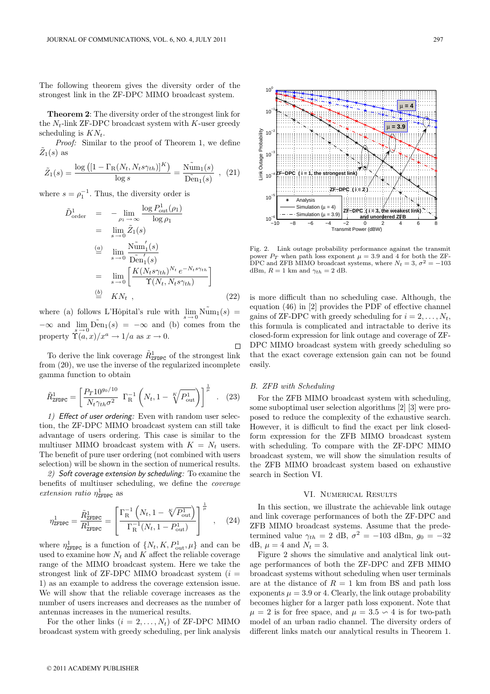The following theorem gives the diversity order of the strongest link in the ZF-DPC MIMO broadcast system.

**Theorem 2**: The diversity order of the strongest link for the  $N_t$ -link ZF-DPC broadcast system with K-user greedy scheduling is  $KN_t$ .

Proof: Similar to the proof of Theorem 1, we define  $Z_1(s)$  as

$$
\tilde{Z}_1(s) = \frac{\log\left([1 - \Gamma_{\rm R}(N_t, N_t s \gamma_{th})]^K\right)}{\log s} = \frac{\tilde{\rm Num}_1(s)}{\tilde{\rm Den}_1(s)} \quad , \quad (21)
$$

where  $s = \rho_1^{-1}$ . Thus, the diversity order is

$$
\tilde{D}_{\text{order}}^1 = -\lim_{\rho_1 \to \infty} \frac{\log P_{\text{out}}^1(\rho_1)}{\log \rho_1} \n= \lim_{s \to 0} \tilde{Z}_1(s) \n\stackrel{(a)}{=} \lim_{s \to 0} \frac{\text{Num}_1'(s)}{\text{Den}_1'(s)} \n= \lim_{s \to 0} \left[ \frac{K(N_t s \gamma_{th})^{N_t} e^{-N_t s \gamma_{th}}}{\Upsilon(N_t, N_t s \gamma_{th})} \right] \n\stackrel{(b)}{=} K N_t ,
$$
\n(22)

where (a) follows L'Hôpital's rule with  $\lim_{s\to 0} \widetilde{\mathrm{Num}}_1(s) =$  $-\infty$  and  $\lim_{s \to 0} \widetilde{\text{Den}}_1(s) = -\infty$  and (b) comes from the property  $\tilde{\Upsilon}(a, x)/x^a \to 1/a$  as  $x \to 0$ .

To derive the link coverage  $\tilde{R}^1_{\texttt{ZFDPC}}$  of the strongest link from (20), we use the inverse of the regularized incomplete gamma function to obtain

$$
\tilde{R}_{\text{ZFDPC}}^{1} = \left[ \frac{P_T 10^{g_0/10}}{N_t \gamma_{th} \sigma^2} \ \Gamma_{\text{R}}^{-1} \left( N_t, 1 - \sqrt[K]{P_{\text{out}}^1} \right) \right]^{\frac{1}{\mu}} \ . \tag{23}
$$

1) Effect of user ordering: Even with random user selection, the ZF-DPC MIMO broadcast system can still take advantage of users ordering. This case is similar to the multiuser MIMO broadcast system with  $K = N_t$  users. The benefit of pure user ordering (not combined with users selection) will be shown in the section of numerical results.

2) Soft coverage extension by scheduling: To examine the benefits of multiuser scheduling, we define the coverage extension ratio  $\eta_{\tt ZFDPC}^1$  as

$$
\eta_{\text{ZFDPC}}^{1} = \frac{\tilde{R}_{\text{ZFDPC}}^{1}}{R_{\text{ZFDPC}}^{1}} = \left[ \frac{\Gamma_{\text{R}}^{-1} \left( N_t, 1 - \sqrt[K]{P_{\text{out}}^{1}} \right)}{\Gamma_{\text{R}}^{-1} (N_t, 1 - P_{\text{out}}^{1})} \right]^{\frac{1}{\mu}}, \quad (24)
$$

where  $\eta_{\text{ZFDPC}}^1$  is a function of  $\{N_t, K, P_{\text{out}}^1, \mu\}$  and can be used to examine how  $N_t$  and K affect the reliable coverage range of the MIMO broadcast system. Here we take the strongest link of ZF-DPC MIMO broadcast system  $(i =$ 1) as an example to address the coverage extension issue. We will show that the reliable coverage increases as the number of users increases and decreases as the number of antennas increases in the numerical results.

For the other links  $(i = 2, ..., N_t)$  of ZF-DPC MIMO broadcast system with greedy scheduling, per link analysis



Fig. 2. Link outage probability performance against the transmit power  $P_T$  when path loss exponent  $\mu = 3.9$  and 4 for both the ZF-DPC and ZFB MIMO broadcast systems, where  $N_t = 3$ ,  $\sigma^2 = -103$ dBm,  $R = 1$  km and  $\gamma_{th} = 2$  dB.

is more difficult than no scheduling case. Although, the equation (46) in [2] provides the PDF of effective channel gains of ZF-DPC with greedy scheduling for  $i = 2, \ldots, N_t$ , this formula is complicated and intractable to derive its closed-form expression for link outage and coverage of ZF-DPC MIMO broadcast system with greedy scheduling so that the exact coverage extension gain can not be found easily.

### B. ZFB with Scheduling

 $\Box$ 

For the ZFB MIMO broadcast system with scheduling, some suboptimal user selection algorithms [2] [3] were proposed to reduce the complexity of the exhaustive search. However, it is difficult to find the exact per link closedform expression for the ZFB MIMO broadcast system with scheduling. To compare with the ZF-DPC MIMO broadcast system, we will show the simulation results of the ZFB MIMO broadcast system based on exhaustive search in Section VI.

## VI. Numerical Results

In this section, we illustrate the achievable link outage and link coverage performances of both the ZF-DPC and ZFB MIMO broadcast systems. Assume that the predetermined value  $\gamma_{th} = 2$  dB,  $\sigma^2 = -103$  dBm,  $g_0 = -32$ dB,  $\mu = 4$  and  $N_t = 3$ .

Figure 2 shows the simulative and analytical link outage performances of both the ZF-DPC and ZFB MIMO broadcast systems without scheduling when user terminals are at the distance of  $R = 1$  km from BS and path loss exponents  $\mu = 3.9$  or 4. Clearly, the link outage probability becomes higher for a larger path loss exponent. Note that  $\mu = 2$  is for free space, and  $\mu = 3.5 \backsim 4$  is for two-path model of an urban radio channel. The diversity orders of different links match our analytical results in Theorem 1.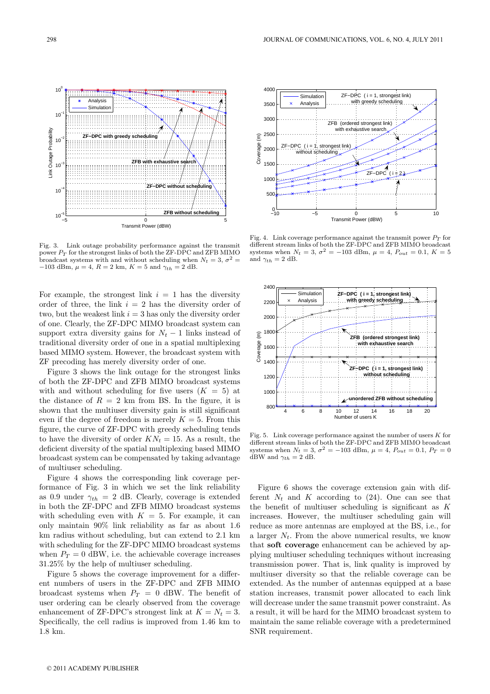

Fig. 3. Link outage probability performance against the transmit power  $P_T$  for the strongest links of both the ZF-DPC and ZFB MIMO power  $P_T$  for the strongest links of both the ZF-DPC and ZFB MIMO<br>broadcast systems with and without scheduling when  $N_t = 3$ ,  $\sigma^2 =$ <br>-103 dBm,  $u = 4$ ,  $B = 2$  km,  $K = 5$  and  $\gamma u = 2$  dB −103 dBm,  $\mu = 4$ ,  $R = 2$  km,  $K = 5$  and  $\gamma_{th} = 2$  dB.

For example, the strongest link  $i = 1$  has the diversity order of three, the link  $i = 2$  has the diversity order of two, but the weakest link  $i = 3$  has only the diversity order of one. Clearly, the ZF-DPC MIMO broadcast system can support extra diversity gains for  $N_t - 1$  links instead of traditional diversity order of one in a spatial multiplexing based MIMO system. However, the broadcast system with ZF precoding has merely diversity order of one.

Figure 3 shows the link outage for the strongest links of both the ZF-DPC and ZFB MIMO broadcast systems with and without scheduling for five users  $(K = 5)$  at the distance of  $R = 2$  km from BS. In the figure, it is shown that the multiuser diversity gain is still significant even if the degree of freedom is merely  $K = 5$ . From this figure, the curve of ZF-DPC with greedy scheduling tends to have the diversity of order  $KN_t = 15$ . As a result, the deficient diversity of the spatial multiplexing based MIMO broadcast system can be compensated by taking advantage of multiuser scheduling.

Figure 4 shows the corresponding link coverage performance of Fig. 3 in which we set the link reliability as 0.9 under  $\gamma_{th} = 2$  dB. Clearly, coverage is extended in both the ZF-DPC and ZFB MIMO broadcast systems with scheduling even with  $K = 5$ . For example, it can only maintain 90% link reliability as far as about 1.6 km radius without scheduling, but can extend to 2.1 km with scheduling for the ZF-DPC MIMO broadcast systems when  $P_T = 0$  dBW, i.e. the achievable coverage increases 31.25% by the help of multiuser scheduling.

Figure 5 shows the coverage improvement for a different numbers of users in the ZF-DPC and ZFB MIMO broadcast systems when  $P_T = 0$  dBW. The benefit of user ordering can be clearly observed from the coverage enhancement of ZF-DPC's strongest link at  $K = N_t = 3$ . Specifically, the cell radius is improved from 1.46 km to 1.8 km.



Fig. 4. Link coverage performance against the transmit power  $P_T$  for different stream links of both the ZF-DPC and ZFB MIMO broadcast systems when  $N_t = 3$ ,  $\sigma^2 = -103$  dBm,  $\mu = 4$ ,  $P_{out} = 0.1$ ,  $K = 5$ and  $\gamma_{th} = 2$  dB.



Fig. 5. Link coverage performance against the number of users  $K$  for different stream links of both the ZF-DPC and ZFB MIMO broadcast systems when  $N_t = 3$ ,  $\sigma^2 = -103$  dBm,  $\mu = 4$ ,  $P_{out} = 0.1$ ,  $P_T = 0$ dBW and  $\gamma_{th} = 2$  dB.

Figure 6 shows the coverage extension gain with different  $N_t$  and K according to (24). One can see that the benefit of multiuser scheduling is significant as  $K$ increases. However, the multiuser scheduling gain will reduce as more antennas are employed at the BS, i.e., for a larger  $N_t$ . From the above numerical results, we know that **soft coverage** enhancement can be achieved by applying multiuser scheduling techniques without increasing transmission power. That is, link quality is improved by multiuser diversity so that the reliable coverage can be extended. As the number of antennas equipped at a base station increases, transmit power allocated to each link will decrease under the same transmit power constraint. As a result, it will be hard for the MIMO broadcast system to maintain the same reliable coverage with a predetermined SNR requirement.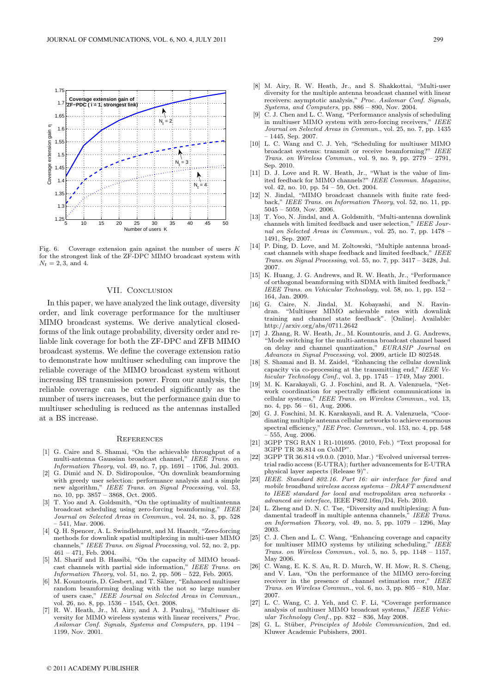

Fig. 6. Coverage extension gain against the number of users K for the strongest link of the ZF-DPC MIMO broadcast system with  $N_t = 2, 3, \text{ and } 4.$ 

# VII. CONCLUSION

In this paper, we have analyzed the link outage, diversity order, and link coverage performance for the multiuser MIMO broadcast systems. We derive analytical closedforms of the link outage probability, diversity order and reliable link coverage for both the ZF-DPC and ZFB MIMO broadcast systems. We define the coverage extension ratio to demonstrate how multiuser scheduling can improve the reliable coverage of the MIMO broadcast system without increasing BS transmission power. From our analysis, the reliable coverage can be extended significantly as the number of users increases, but the performance gain due to multiuser scheduling is reduced as the antennas installed at a BS increase.

# **REFERENCES**

- [1] G. Caire and S. Shamai, "On the achievable throughput of a multi-antenna Gaussian broadcast channel," IEEE Trans. on Information Theory, vol. 49, no. 7, pp. 1691 – 1706, Jul. 2003.
- [2] G. Dimić and N. D. Sidiropoulos, "On downlink beamforming with greedy user selection: performance analysis and a simple new algorithm," IEEE Trans. on Signal Processing, vol. 53, no. 10, pp. 3857 – 3868, Oct. 2005.
- [3] T. Yoo and A. Goldsmith, "On the optimality of multiantenna broadcast scheduling using zero-forcing beamforming," IEEE Journal on Selected Areas in Commun., vol. 24, no. 3, pp. 528 – 541, Mar. 2006.
- [4] Q. H. Spencer, A. L. Swindlehurst, and M. Haardt, "Zero-forcing methods for downlink spatial multiplexing in multi-user MIMO channels," IEEE Trans. on Signal Processing, vol. 52, no. 2, pp. 461 – 471, Feb. 2004.
- [5] M. Sharif and B. Hassibi, "On the capacity of MIMO broadcast channels with partial side information," IEEE Trans. on Information Theory, vol. 51, no. 2, pp. 506 – 522, Feb. 2005.
- [6] M. Kountouris, D. Gesbert, and T. Sälzer, "Enhanced multiuser random beamforming dealing with the not so large number of users case," IEEE Journal on Selected Areas in Commun., vol. 26, no. 8, pp. 1536 – 1545, Oct. 2008.
- [7] R. W. Heath, Jr., M. Airy, and A. J. Paulraj, "Multiuser diversity for MIMO wireless systems with linear receivers," Proc. Asilomar Conf. Signals, Systems and Computers, pp. 1194 – 1199, Nov. 2001.
- [8] M. Airy, R. W. Heath, Jr., and S. Shakkottai, "Multi-user diversity for the multiple antenna broadcast channel with linear receivers: asymptotic analysis," Proc. Asilomar Conf. Signals, Systems, and Computers, pp. 886 – 890, Nov. 2004.
- [9] C. J. Chen and L. C. Wang, "Performance analysis of scheduling in multiuser MIMO system with zero-forcing receivers," IEEE Journal on Selected Areas in Commun., vol. 25, no. 7, pp. 1435 – 1445, Sep. 2007.
- [10] L. C. Wang and C. J. Yeh, "Scheduling for multiuser MIMO broadcast systems: transmit or receive beamforming?" IEEE Trans. on Wireless Commun., vol. 9, no. 9, pp. 2779 – 2791, Sep. 2010.
- [11] D. J. Love and R. W. Heath, Jr., "What is the value of limited feedback for MIMO channels?" IEEE Commun. Magazine, vol. 42, no. 10, pp. 54 – 59, Oct. 2004.
- [12] N. Jindal, "MIMO broadcast channels with finite rate feedback," IEEE Trans. on Information Theory, vol. 52, no. 11, pp. 5045 – 5059, Nov. 2006.
- [13] T. Yoo, N. Jindal, and A. Goldsmith, "Multi-antenna downlink channels with limited feedback and user selection," IEEE Journal on Selected Areas in Commun., vol. 25, no. 7, pp. 1478 – 1491, Sep. 2007.
- [14] P. Ding, D. Love, and M. Zoltowski, "Multiple antenna broadcast channels with shape feedback and limited feedback," IEEE Trans. on Signal Processing, vol. 55, no. 7, pp. 3417 – 3428, Jul. 2007.
- [15] K. Huang, J. G. Andrews, and R. W. Heath, Jr., "Performance of orthogonal beamforming with SDMA with limited feedback, IEEE Trans. on Vehicular Technology, vol. 58, no. 1, pp. 152 – 164, Jan. 2009.
- [16] G. Caire, N. Jindal, M. Kobayashi, and N. Ravindran. "Multiuser MIMO achievable rates with downlink training and channel state feedback". [Online]. Available: http://arxiv.org/abs/0711.2642
- [17] J. Zhang, R. W. Heath, Jr., M. Kountouris, and J. G. Andrews, "Mode switching for the multi-antenna broadcast channel based on delay and channel quantization," EURASIP Journal on Advances in Signal Processing, vol. 2009, article ID 802548.
- [18] S. Shamai and B. M. Zaidel, "Enhancing the cellular downlink capacity via co-processing at the transmitting end," IEEE Vehicular Technology Conf., vol. 3, pp.  $1745 - 1749$ , May 2001.
- [19] M. K. Karakayali, G. J. Foschini, and R. A. Valenzuela, "Network coordination for spectrally efficient communications in cellular systems," IEEE Trans. on Wireless Commun., vol. 13, no. 4, pp. 56 – 61, Aug. 2006.
- [20] G. J. Foschini, M. K. Karakayali, and R. A. Valenzuela, "Coordinating multiple antenna cellular networks to achieve enormous spectral efficiency," IEE Proc. Commun., vol. 153, no. 4, pp. 548 – 555, Aug. 2006.
- [21] 3GPP TSG RAN 1 R1-101695. (2010, Feb.) "Text proposal for 3GPP TR 36.814 on CoMP".
- [22] 3GPP TR 36.814 v9.0.0. (2010, Mar.) "Evolved universal terrestrial radio access (E-UTRA); further advancements for E-UTRA physical layer aspects (Release 9)".
- [23] IEEE. Standard 802.16. Part 16: air interface for fixed and mobile broadband wireless access systems  $-D\ddot{R}A\ddot{F}\dot{T}$  amendment to IEEE standard for local and metropolitan area networks advanced air interface, IEEE P802.16m/D4, Feb. 2010.
- [24] L. Zheng and D. N. C. Tse, "Diversity and multiplexing: A fundamental tradeoff in multiple antenna channels," IEEE Trans. on Information Theory, vol. 49, no. 5, pp. 1079 – 1296, May 2003.
- [25] C. J. Chen and L. C. Wang, "Enhancing coverage and capacity for multiuser MIMO systems by utilizing scheduling," IEEE Trans. on Wireless Commun., vol. 5, no. 5, pp. 1148 – 1157, May 2006.
- [26] C. Wang, E. K. S. Au, R. D. Murch, W. H. Mow, R. S. Cheng, and V. Lau, "On the performance of the MIMO zero-forcing receiver in the presence of channel estimation rror," IEEE Trans. on Wireless Commun., vol. 6, no. 3, pp. 805 – 810, Mar. 2007.
- [27] L. C. Wang, C. J. Yeh, and C. F. Li, "Coverage performance analysis of multiuser MIMO broadcast systems," IEEE Vehicular Technology Conf., pp. 832 – 836, May 2008.
- [28] G. L. Stüber, Principles of Mobile Communication, 2nd ed. Kluwer Academic Pubishers, 2001.